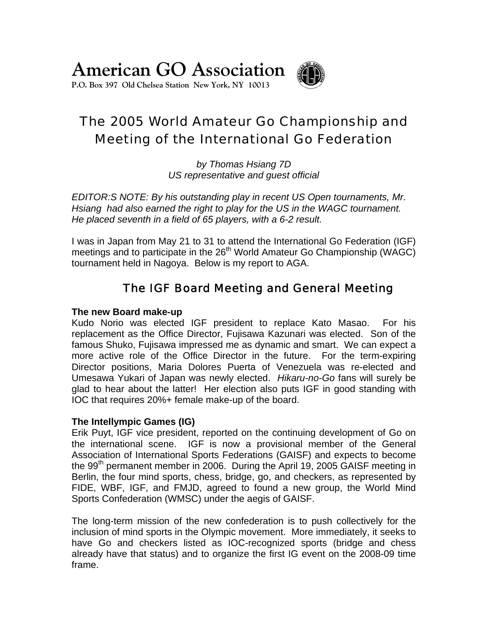**American GO Association**

**P.O. Box 397 Old Chelsea Station New York, NY 10013** 

# The 2005 World Amateur Go Championship and Meeting of the International Go Federation

*by Thomas Hsiang 7D US representative and guest official*

*EDITOR:S NOTE: By his outstanding play in recent US Open tournaments, Mr. Hsiang had also earned the right to play for the US in the WAGC tournament. He placed seventh in a field of 65 players, with a 6-2 result.*

I was in Japan from May 21 to 31 to attend the International Go Federation (IGF) meetings and to participate in the 26<sup>th</sup> World Amateur Go Championship (WAGC) tournament held in Nagoya. Below is my report to AGA.

## The IGF Board Meeting and General Meeting

#### **The new Board make-up**

Kudo Norio was elected IGF president to replace Kato Masao. For his replacement as the Office Director, Fujisawa Kazunari was elected. Son of the famous Shuko, Fujisawa impressed me as dynamic and smart. We can expect a more active role of the Office Director in the future. For the term-expiring Director positions, Maria Dolores Puerta of Venezuela was re-elected and Umesawa Yukari of Japan was newly elected. *Hikaru-no-Go* fans will surely be glad to hear about the latter! Her election also puts IGF in good standing with IOC that requires 20%+ female make-up of the board.

#### **The Intellympic Games (IG)**

Erik Puyt, IGF vice president, reported on the continuing development of Go on the international scene. IGF is now a provisional member of the General Association of International Sports Federations (GAISF) and expects to become the 99<sup>th</sup> permanent member in 2006. During the April 19, 2005 GAISF meeting in Berlin, the four mind sports, chess, bridge, go, and checkers, as represented by FIDE, WBF, IGF, and FMJD, agreed to found a new group, the World Mind Sports Confederation (WMSC) under the aegis of GAISF.

The long-term mission of the new confederation is to push collectively for the inclusion of mind sports in the Olympic movement. More immediately, it seeks to have Go and checkers listed as IOC-recognized sports (bridge and chess already have that status) and to organize the first IG event on the 2008-09 time frame.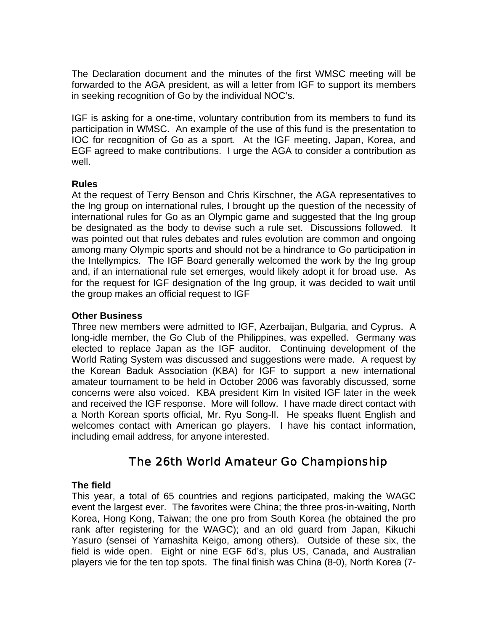The Declaration document and the minutes of the first WMSC meeting will be forwarded to the AGA president, as will a letter from IGF to support its members in seeking recognition of Go by the individual NOC's.

IGF is asking for a one-time, voluntary contribution from its members to fund its participation in WMSC. An example of the use of this fund is the presentation to IOC for recognition of Go as a sport. At the IGF meeting, Japan, Korea, and EGF agreed to make contributions. I urge the AGA to consider a contribution as well.

#### **Rules**

At the request of Terry Benson and Chris Kirschner, the AGA representatives to the Ing group on international rules, I brought up the question of the necessity of international rules for Go as an Olympic game and suggested that the Ing group be designated as the body to devise such a rule set. Discussions followed. It was pointed out that rules debates and rules evolution are common and ongoing among many Olympic sports and should not be a hindrance to Go participation in the Intellympics. The IGF Board generally welcomed the work by the Ing group and, if an international rule set emerges, would likely adopt it for broad use. As for the request for IGF designation of the Ing group, it was decided to wait until the group makes an official request to IGF

#### **Other Business**

Three new members were admitted to IGF, Azerbaijan, Bulgaria, and Cyprus. A long-idle member, the Go Club of the Philippines, was expelled. Germany was elected to replace Japan as the IGF auditor. Continuing development of the World Rating System was discussed and suggestions were made. A request by the Korean Baduk Association (KBA) for IGF to support a new international amateur tournament to be held in October 2006 was favorably discussed, some concerns were also voiced. KBA president Kim In visited IGF later in the week and received the IGF response. More will follow. I have made direct contact with a North Korean sports official, Mr. Ryu Song-Il. He speaks fluent English and welcomes contact with American go players. I have his contact information, including email address, for anyone interested.

### The 26th World Amateur Go Championship

### **The field**

This year, a total of 65 countries and regions participated, making the WAGC event the largest ever. The favorites were China; the three pros-in-waiting, North Korea, Hong Kong, Taiwan; the one pro from South Korea (he obtained the pro rank after registering for the WAGC); and an old guard from Japan, Kikuchi Yasuro (sensei of Yamashita Keigo, among others). Outside of these six, the field is wide open. Eight or nine EGF 6d's, plus US, Canada, and Australian players vie for the ten top spots. The final finish was China (8-0), North Korea (7